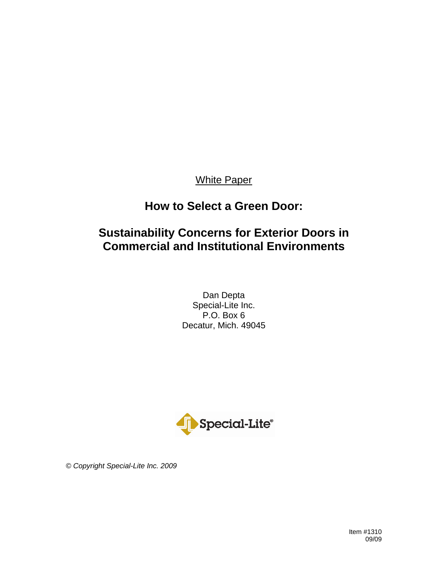# White Paper

# **How to Select a Green Door:**

# **Sustainability Concerns for Exterior Doors in Commercial and Institutional Environments**

Dan Depta Special-Lite Inc. P.O. Box 6 Decatur, Mich. 49045



*© Copyright Special-Lite Inc. 2009*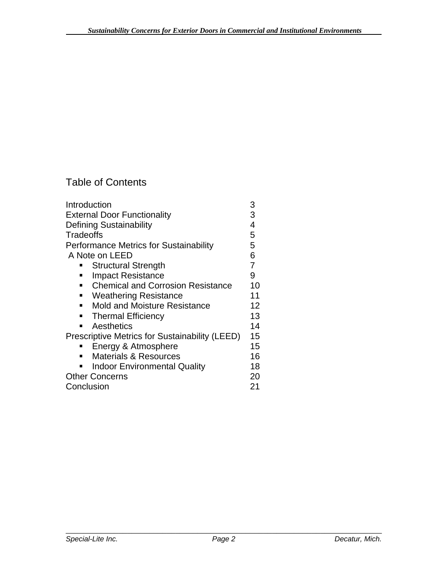# Table of Contents

| Introduction                                               | 3  |
|------------------------------------------------------------|----|
| <b>External Door Functionality</b>                         | 3  |
| <b>Defining Sustainability</b>                             | 4  |
| Tradeoffs                                                  | 5  |
| <b>Performance Metrics for Sustainability</b>              | 5  |
| A Note on LEED                                             | 6  |
| <b>Structural Strength</b>                                 | 7  |
| <b>Impact Resistance</b>                                   | 9  |
| <b>Chemical and Corrosion Resistance</b><br>$\blacksquare$ | 10 |
| <b>Weathering Resistance</b><br>٠                          | 11 |
| <b>Mold and Moisture Resistance</b><br>$\blacksquare$      | 12 |
| <b>Thermal Efficiency</b><br>$\blacksquare$                | 13 |
| Aesthetics                                                 | 14 |
| <b>Prescriptive Metrics for Sustainability (LEED)</b>      | 15 |
| Energy & Atmosphere                                        | 15 |
| <b>Materials &amp; Resources</b>                           | 16 |
| <b>Indoor Environmental Quality</b>                        | 18 |
| <b>Other Concerns</b>                                      | 20 |
| Conclusion                                                 | 21 |
|                                                            |    |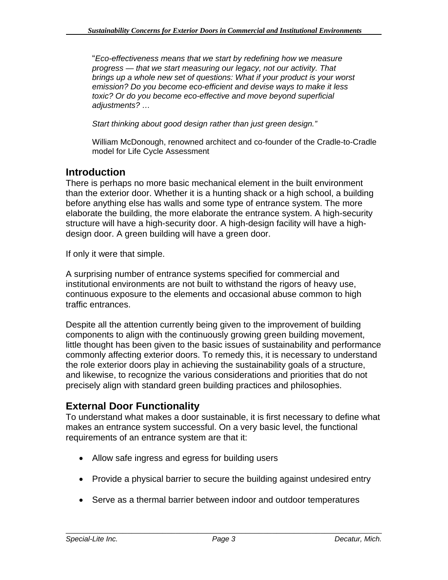"*Eco-effectiveness means that we start by redefining how we measure progress — that we start measuring our legacy, not our activity. That brings up a whole new set of questions: What if your product is your worst emission? Do you become eco-efficient and devise ways to make it less toxic? Or do you become eco-effective and move beyond superficial adjustments? …* 

*Start thinking about good design rather than just green design."* 

William McDonough, renowned architect and co-founder of the Cradle-to-Cradle model for Life Cycle Assessment

# **Introduction**

There is perhaps no more basic mechanical element in the built environment than the exterior door. Whether it is a hunting shack or a high school, a building before anything else has walls and some type of entrance system. The more elaborate the building, the more elaborate the entrance system. A high-security structure will have a high-security door. A high-design facility will have a highdesign door. A green building will have a green door.

If only it were that simple.

A surprising number of entrance systems specified for commercial and institutional environments are not built to withstand the rigors of heavy use, continuous exposure to the elements and occasional abuse common to high traffic entrances.

Despite all the attention currently being given to the improvement of building components to align with the continuously growing green building movement, little thought has been given to the basic issues of sustainability and performance commonly affecting exterior doors. To remedy this, it is necessary to understand the role exterior doors play in achieving the sustainability goals of a structure, and likewise, to recognize the various considerations and priorities that do not precisely align with standard green building practices and philosophies.

# **External Door Functionality**

To understand what makes a door sustainable, it is first necessary to define what makes an entrance system successful. On a very basic level, the functional requirements of an entrance system are that it:

- Allow safe ingress and egress for building users
- Provide a physical barrier to secure the building against undesired entry
- Serve as a thermal barrier between indoor and outdoor temperatures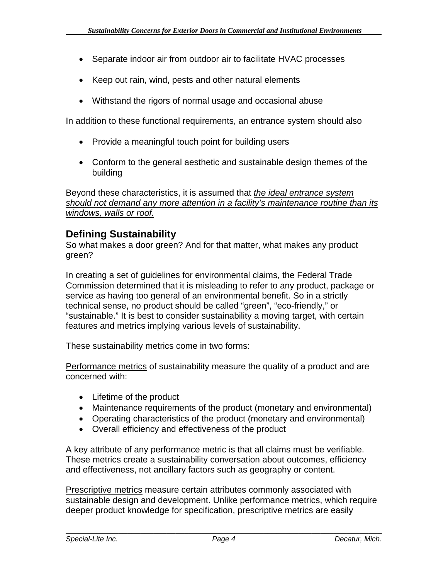- Separate indoor air from outdoor air to facilitate HVAC processes
- Keep out rain, wind, pests and other natural elements
- Withstand the rigors of normal usage and occasional abuse

In addition to these functional requirements, an entrance system should also

- Provide a meaningful touch point for building users
- Conform to the general aesthetic and sustainable design themes of the building

Beyond these characteristics, it is assumed that *the ideal entrance system should not demand any more attention in a facility's maintenance routine than its windows, walls or roof.*

# **Defining Sustainability**

So what makes a door green? And for that matter, what makes any product green?

In creating a set of guidelines for environmental claims, the Federal Trade Commission determined that it is misleading to refer to any product, package or service as having too general of an environmental benefit. So in a strictly technical sense, no product should be called "green", "eco-friendly," or "sustainable." It is best to consider sustainability a moving target, with certain features and metrics implying various levels of sustainability.

These sustainability metrics come in two forms:

Performance metrics of sustainability measure the quality of a product and are concerned with:

- Lifetime of the product
- Maintenance requirements of the product (monetary and environmental)
- Operating characteristics of the product (monetary and environmental)
- Overall efficiency and effectiveness of the product

A key attribute of any performance metric is that all claims must be verifiable. These metrics create a sustainability conversation about outcomes, efficiency and effectiveness, not ancillary factors such as geography or content.

Prescriptive metrics measure certain attributes commonly associated with sustainable design and development. Unlike performance metrics, which require deeper product knowledge for specification, prescriptive metrics are easily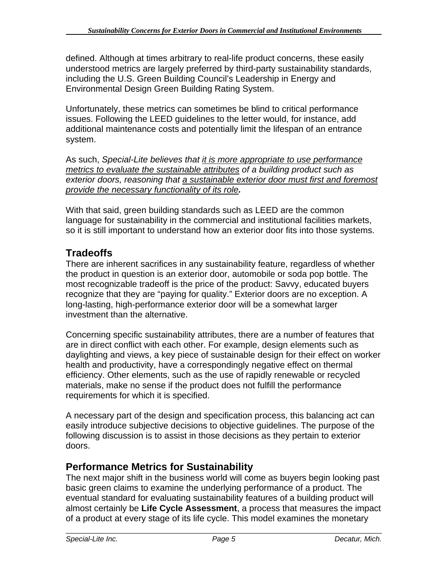defined. Although at times arbitrary to real-life product concerns, these easily understood metrics are largely preferred by third-party sustainability standards, including the U.S. Green Building Council's Leadership in Energy and Environmental Design Green Building Rating System.

Unfortunately, these metrics can sometimes be blind to critical performance issues. Following the LEED guidelines to the letter would, for instance, add additional maintenance costs and potentially limit the lifespan of an entrance system.

As such, *Special-Lite believes that it is more appropriate to use performance metrics to evaluate the sustainable attributes of a building product such as exterior doors, reasoning that a sustainable exterior door must first and foremost provide the necessary functionality of its role.*

With that said, green building standards such as LEED are the common language for sustainability in the commercial and institutional facilities markets, so it is still important to understand how an exterior door fits into those systems.

# **Tradeoffs**

There are inherent sacrifices in any sustainability feature, regardless of whether the product in question is an exterior door, automobile or soda pop bottle. The most recognizable tradeoff is the price of the product: Savvy, educated buyers recognize that they are "paying for quality." Exterior doors are no exception. A long-lasting, high-performance exterior door will be a somewhat larger investment than the alternative.

Concerning specific sustainability attributes, there are a number of features that are in direct conflict with each other. For example, design elements such as daylighting and views, a key piece of sustainable design for their effect on worker health and productivity, have a correspondingly negative effect on thermal efficiency. Other elements, such as the use of rapidly renewable or recycled materials, make no sense if the product does not fulfill the performance requirements for which it is specified.

A necessary part of the design and specification process, this balancing act can easily introduce subjective decisions to objective guidelines. The purpose of the following discussion is to assist in those decisions as they pertain to exterior doors.

# **Performance Metrics for Sustainability**

The next major shift in the business world will come as buyers begin looking past basic green claims to examine the underlying performance of a product. The eventual standard for evaluating sustainability features of a building product will almost certainly be **Life Cycle Assessment**, a process that measures the impact of a product at every stage of its life cycle. This model examines the monetary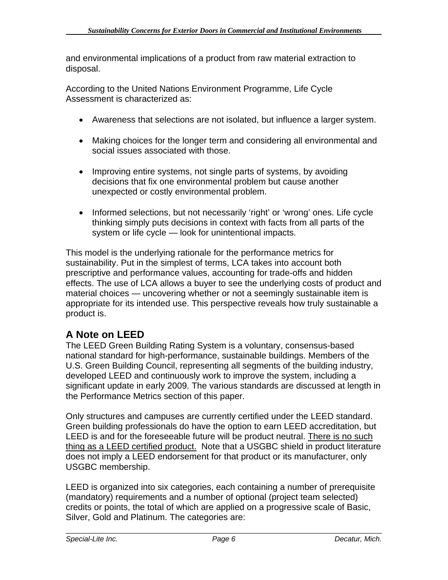and environmental implications of a product from raw material extraction to disposal.

According to the United Nations Environment Programme, Life Cycle Assessment is characterized as:

- Awareness that selections are not isolated, but influence a larger system.
- Making choices for the longer term and considering all environmental and social issues associated with those.
- Improving entire systems, not single parts of systems, by avoiding decisions that fix one environmental problem but cause another unexpected or costly environmental problem.
- Informed selections, but not necessarily 'right' or 'wrong' ones. Life cycle thinking simply puts decisions in context with facts from all parts of the system or life cycle — look for unintentional impacts.

This model is the underlying rationale for the performance metrics for sustainability. Put in the simplest of terms, LCA takes into account both prescriptive and performance values, accounting for trade-offs and hidden effects. The use of LCA allows a buyer to see the underlying costs of product and material choices — uncovering whether or not a seemingly sustainable item is appropriate for its intended use. This perspective reveals how truly sustainable a product is.

# **A Note on LEED**

The LEED Green Building Rating System is a voluntary, consensus-based national standard for high-performance, sustainable buildings. Members of the U.S. Green Building Council, representing all segments of the building industry, developed LEED and continuously work to improve the system, including a significant update in early 2009. The various standards are discussed at length in the Performance Metrics section of this paper.

Only structures and campuses are currently certified under the LEED standard. Green building professionals do have the option to earn LEED accreditation, but LEED is and for the foreseeable future will be product neutral. There is no such thing as a LEED certified product. Note that a USGBC shield in product literature does not imply a LEED endorsement for that product or its manufacturer, only USGBC membership.

LEED is organized into six categories, each containing a number of prerequisite (mandatory) requirements and a number of optional (project team selected) credits or points, the total of which are applied on a progressive scale of Basic, Silver, Gold and Platinum. The categories are: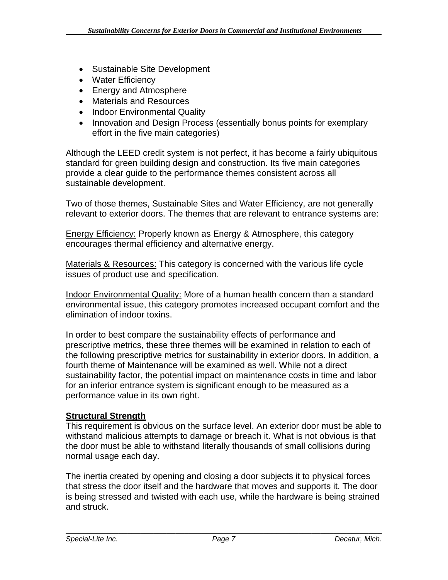- Sustainable Site Development
- Water Efficiency
- Energy and Atmosphere
- Materials and Resources
- Indoor Environmental Quality
- Innovation and Design Process (essentially bonus points for exemplary effort in the five main categories)

Although the LEED credit system is not perfect, it has become a fairly ubiquitous standard for green building design and construction. Its five main categories provide a clear guide to the performance themes consistent across all sustainable development.

Two of those themes, Sustainable Sites and Water Efficiency, are not generally relevant to exterior doors. The themes that are relevant to entrance systems are:

Energy Efficiency: Properly known as Energy & Atmosphere, this category encourages thermal efficiency and alternative energy.

Materials & Resources: This category is concerned with the various life cycle issues of product use and specification.

Indoor Environmental Quality: More of a human health concern than a standard environmental issue, this category promotes increased occupant comfort and the elimination of indoor toxins.

In order to best compare the sustainability effects of performance and prescriptive metrics, these three themes will be examined in relation to each of the following prescriptive metrics for sustainability in exterior doors. In addition, a fourth theme of Maintenance will be examined as well. While not a direct sustainability factor, the potential impact on maintenance costs in time and labor for an inferior entrance system is significant enough to be measured as a performance value in its own right.

# **Structural Strength**

This requirement is obvious on the surface level. An exterior door must be able to withstand malicious attempts to damage or breach it. What is not obvious is that the door must be able to withstand literally thousands of small collisions during normal usage each day.

The inertia created by opening and closing a door subjects it to physical forces that stress the door itself and the hardware that moves and supports it. The door is being stressed and twisted with each use, while the hardware is being strained and struck.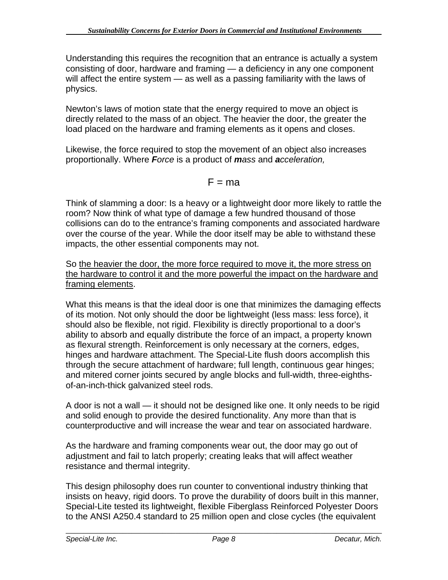Understanding this requires the recognition that an entrance is actually a system consisting of door, hardware and framing — a deficiency in any one component will affect the entire system — as well as a passing familiarity with the laws of physics.

Newton's laws of motion state that the energy required to move an object is directly related to the mass of an object. The heavier the door, the greater the load placed on the hardware and framing elements as it opens and closes.

Likewise, the force required to stop the movement of an object also increases proportionally. Where *Force* is a product of *mass* and *acceleration,* 

# $F = ma$

Think of slamming a door: Is a heavy or a lightweight door more likely to rattle the room? Now think of what type of damage a few hundred thousand of those collisions can do to the entrance's framing components and associated hardware over the course of the year. While the door itself may be able to withstand these impacts, the other essential components may not.

So the heavier the door, the more force required to move it, the more stress on the hardware to control it and the more powerful the impact on the hardware and framing elements.

What this means is that the ideal door is one that minimizes the damaging effects of its motion. Not only should the door be lightweight (less mass: less force), it should also be flexible, not rigid. Flexibility is directly proportional to a door's ability to absorb and equally distribute the force of an impact, a property known as flexural strength. Reinforcement is only necessary at the corners, edges, hinges and hardware attachment. The Special-Lite flush doors accomplish this through the secure attachment of hardware; full length, continuous gear hinges; and mitered corner joints secured by angle blocks and full-width, three-eighthsof-an-inch-thick galvanized steel rods.

A door is not a wall — it should not be designed like one. It only needs to be rigid and solid enough to provide the desired functionality. Any more than that is counterproductive and will increase the wear and tear on associated hardware.

As the hardware and framing components wear out, the door may go out of adjustment and fail to latch properly; creating leaks that will affect weather resistance and thermal integrity.

This design philosophy does run counter to conventional industry thinking that insists on heavy, rigid doors. To prove the durability of doors built in this manner, Special-Lite tested its lightweight, flexible Fiberglass Reinforced Polyester Doors to the ANSI A250.4 standard to 25 million open and close cycles (the equivalent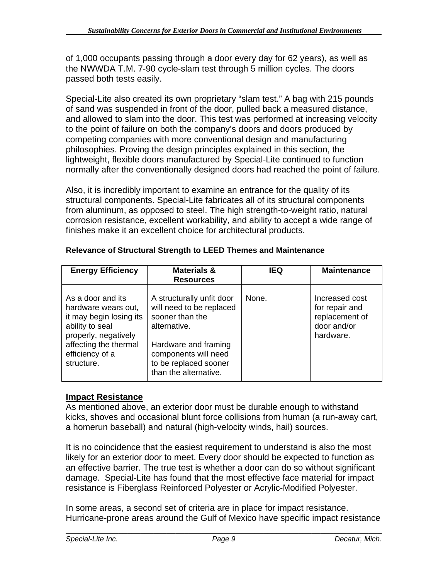of 1,000 occupants passing through a door every day for 62 years), as well as the NWWDA T.M. 7-90 cycle-slam test through 5 million cycles. The doors passed both tests easily.

Special-Lite also created its own proprietary "slam test." A bag with 215 pounds of sand was suspended in front of the door, pulled back a measured distance, and allowed to slam into the door. This test was performed at increasing velocity to the point of failure on both the company's doors and doors produced by competing companies with more conventional design and manufacturing philosophies. Proving the design principles explained in this section, the lightweight, flexible doors manufactured by Special-Lite continued to function normally after the conventionally designed doors had reached the point of failure.

Also, it is incredibly important to examine an entrance for the quality of its structural components. Special-Lite fabricates all of its structural components from aluminum, as opposed to steel. The high strength-to-weight ratio, natural corrosion resistance, excellent workability, and ability to accept a wide range of finishes make it an excellent choice for architectural products.

| <b>Energy Efficiency</b>                                                                                                                                                 | <b>Materials &amp;</b><br><b>Resources</b>                                                                                                                                                 | <b>IEQ</b> | <b>Maintenance</b>                                                             |
|--------------------------------------------------------------------------------------------------------------------------------------------------------------------------|--------------------------------------------------------------------------------------------------------------------------------------------------------------------------------------------|------------|--------------------------------------------------------------------------------|
| As a door and its<br>hardware wears out,<br>it may begin losing its<br>ability to seal<br>properly, negatively<br>affecting the thermal<br>efficiency of a<br>structure. | A structurally unfit door<br>will need to be replaced<br>sooner than the<br>alternative.<br>Hardware and framing<br>components will need<br>to be replaced sooner<br>than the alternative. | None.      | Increased cost<br>for repair and<br>replacement of<br>door and/or<br>hardware. |

# **Relevance of Structural Strength to LEED Themes and Maintenance**

# **Impact Resistance**

As mentioned above, an exterior door must be durable enough to withstand kicks, shoves and occasional blunt force collisions from human (a run-away cart, a homerun baseball) and natural (high-velocity winds, hail) sources.

It is no coincidence that the easiest requirement to understand is also the most likely for an exterior door to meet. Every door should be expected to function as an effective barrier. The true test is whether a door can do so without significant damage. Special-Lite has found that the most effective face material for impact resistance is Fiberglass Reinforced Polyester or Acrylic-Modified Polyester.

In some areas, a second set of criteria are in place for impact resistance. Hurricane-prone areas around the Gulf of Mexico have specific impact resistance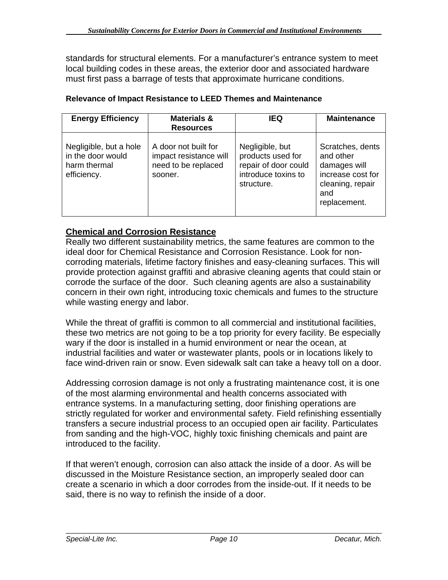standards for structural elements. For a manufacturer's entrance system to meet local building codes in these areas, the exterior door and associated hardware must first pass a barrage of tests that approximate hurricane conditions.

| <b>Energy Efficiency</b>                                                   | <b>Materials &amp;</b><br><b>Resources</b>                                       | <b>IEQ</b>                                                                                        | <b>Maintenance</b>                                                                                            |
|----------------------------------------------------------------------------|----------------------------------------------------------------------------------|---------------------------------------------------------------------------------------------------|---------------------------------------------------------------------------------------------------------------|
| Negligible, but a hole<br>in the door would<br>harm thermal<br>efficiency. | A door not built for<br>impact resistance will<br>need to be replaced<br>sooner. | Negligible, but<br>products used for<br>repair of door could<br>introduce toxins to<br>structure. | Scratches, dents<br>and other<br>damages will<br>increase cost for<br>cleaning, repair<br>and<br>replacement. |

### **Relevance of Impact Resistance to LEED Themes and Maintenance**

# **Chemical and Corrosion Resistance**

Really two different sustainability metrics, the same features are common to the ideal door for Chemical Resistance and Corrosion Resistance. Look for noncorroding materials, lifetime factory finishes and easy-cleaning surfaces. This will provide protection against graffiti and abrasive cleaning agents that could stain or corrode the surface of the door. Such cleaning agents are also a sustainability concern in their own right, introducing toxic chemicals and fumes to the structure while wasting energy and labor.

While the threat of graffiti is common to all commercial and institutional facilities, these two metrics are not going to be a top priority for every facility. Be especially wary if the door is installed in a humid environment or near the ocean, at industrial facilities and water or wastewater plants, pools or in locations likely to face wind-driven rain or snow. Even sidewalk salt can take a heavy toll on a door.

Addressing corrosion damage is not only a frustrating maintenance cost, it is one of the most alarming environmental and health concerns associated with entrance systems. In a manufacturing setting, door finishing operations are strictly regulated for worker and environmental safety. Field refinishing essentially transfers a secure industrial process to an occupied open air facility. Particulates from sanding and the high-VOC, highly toxic finishing chemicals and paint are introduced to the facility.

If that weren't enough, corrosion can also attack the inside of a door. As will be discussed in the Moisture Resistance section, an improperly sealed door can create a scenario in which a door corrodes from the inside-out. If it needs to be said, there is no way to refinish the inside of a door.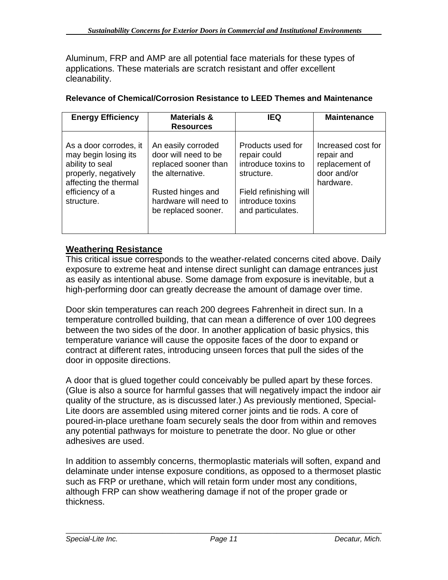Aluminum, FRP and AMP are all potential face materials for these types of applications. These materials are scratch resistant and offer excellent cleanability.

| <b>Energy Efficiency</b>                                                                                                                            | <b>Materials &amp;</b><br><b>Resources</b>                                                                                                                  | <b>IEQ</b>                                                                                                                                | <b>Maintenance</b>                                                             |
|-----------------------------------------------------------------------------------------------------------------------------------------------------|-------------------------------------------------------------------------------------------------------------------------------------------------------------|-------------------------------------------------------------------------------------------------------------------------------------------|--------------------------------------------------------------------------------|
| As a door corrodes, it<br>may begin losing its<br>ability to seal<br>properly, negatively<br>affecting the thermal<br>efficiency of a<br>structure. | An easily corroded<br>door will need to be<br>replaced sooner than<br>the alternative.<br>Rusted hinges and<br>hardware will need to<br>be replaced sooner. | Products used for<br>repair could<br>introduce toxins to<br>structure.<br>Field refinishing will<br>introduce toxins<br>and particulates. | Increased cost for<br>repair and<br>replacement of<br>door and/or<br>hardware. |

### **Relevance of Chemical/Corrosion Resistance to LEED Themes and Maintenance**

# **Weathering Resistance**

This critical issue corresponds to the weather-related concerns cited above. Daily exposure to extreme heat and intense direct sunlight can damage entrances just as easily as intentional abuse. Some damage from exposure is inevitable, but a high-performing door can greatly decrease the amount of damage over time.

Door skin temperatures can reach 200 degrees Fahrenheit in direct sun. In a temperature controlled building, that can mean a difference of over 100 degrees between the two sides of the door. In another application of basic physics, this temperature variance will cause the opposite faces of the door to expand or contract at different rates, introducing unseen forces that pull the sides of the door in opposite directions.

A door that is glued together could conceivably be pulled apart by these forces. (Glue is also a source for harmful gasses that will negatively impact the indoor air quality of the structure, as is discussed later.) As previously mentioned, Special-Lite doors are assembled using mitered corner joints and tie rods. A core of poured-in-place urethane foam securely seals the door from within and removes any potential pathways for moisture to penetrate the door. No glue or other adhesives are used.

In addition to assembly concerns, thermoplastic materials will soften, expand and delaminate under intense exposure conditions, as opposed to a thermoset plastic such as FRP or urethane, which will retain form under most any conditions, although FRP can show weathering damage if not of the proper grade or thickness.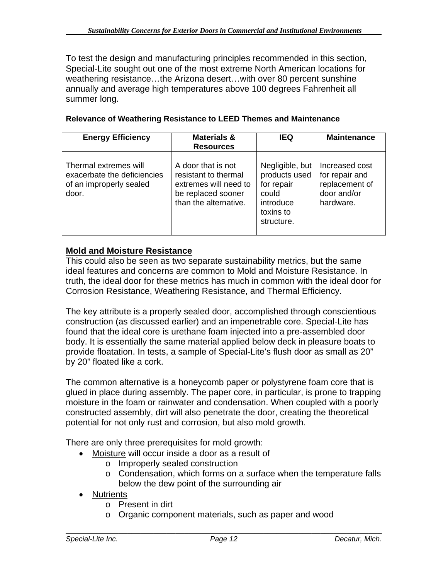To test the design and manufacturing principles recommended in this section, Special-Lite sought out one of the most extreme North American locations for weathering resistance…the Arizona desert…with over 80 percent sunshine annually and average high temperatures above 100 degrees Fahrenheit all summer long.

| <b>Energy Efficiency</b>                                                                 | <b>Materials &amp;</b><br><b>Resources</b>                                                                         | <b>IEQ</b>                                                                                      | <b>Maintenance</b>                                                             |
|------------------------------------------------------------------------------------------|--------------------------------------------------------------------------------------------------------------------|-------------------------------------------------------------------------------------------------|--------------------------------------------------------------------------------|
| Thermal extremes will<br>exacerbate the deficiencies<br>of an improperly sealed<br>door. | A door that is not<br>resistant to thermal<br>extremes will need to<br>be replaced sooner<br>than the alternative. | Negligible, but<br>products used<br>for repair<br>could<br>introduce<br>toxins to<br>structure. | Increased cost<br>for repair and<br>replacement of<br>door and/or<br>hardware. |

#### **Relevance of Weathering Resistance to LEED Themes and Maintenance**

### **Mold and Moisture Resistance**

This could also be seen as two separate sustainability metrics, but the same ideal features and concerns are common to Mold and Moisture Resistance. In truth, the ideal door for these metrics has much in common with the ideal door for Corrosion Resistance, Weathering Resistance, and Thermal Efficiency.

The key attribute is a properly sealed door, accomplished through conscientious construction (as discussed earlier) and an impenetrable core. Special-Lite has found that the ideal core is urethane foam injected into a pre-assembled door body. It is essentially the same material applied below deck in pleasure boats to provide floatation. In tests, a sample of Special-Lite's flush door as small as 20" by 20" floated like a cork.

The common alternative is a honeycomb paper or polystyrene foam core that is glued in place during assembly. The paper core, in particular, is prone to trapping moisture in the foam or rainwater and condensation. When coupled with a poorly constructed assembly, dirt will also penetrate the door, creating the theoretical potential for not only rust and corrosion, but also mold growth.

There are only three prerequisites for mold growth:

- Moisture will occur inside a door as a result of
	- o Improperly sealed construction
	- o Condensation, which forms on a surface when the temperature falls below the dew point of the surrounding air
- Nutrients
	- o Present in dirt
	- o Organic component materials, such as paper and wood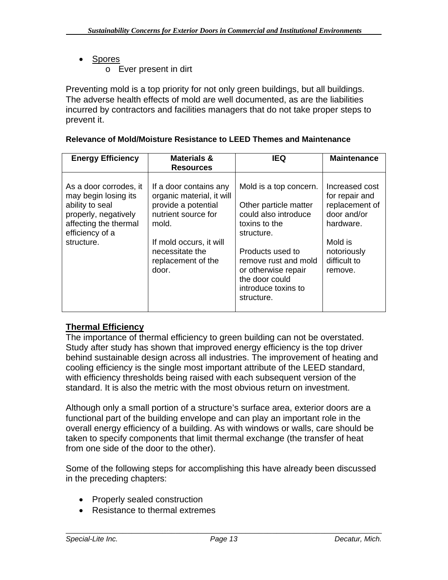- Spores
	- o Ever present in dirt

Preventing mold is a top priority for not only green buildings, but all buildings. The adverse health effects of mold are well documented, as are the liabilities incurred by contractors and facilities managers that do not take proper steps to prevent it.

| <b>Energy Efficiency</b>                                                                                                                            | Materials &<br><b>Resources</b>                                                                                                                                                         | <b>IEQ</b>                                                                                                                                                                                                                       | <b>Maintenance</b>                                                                                                                  |
|-----------------------------------------------------------------------------------------------------------------------------------------------------|-----------------------------------------------------------------------------------------------------------------------------------------------------------------------------------------|----------------------------------------------------------------------------------------------------------------------------------------------------------------------------------------------------------------------------------|-------------------------------------------------------------------------------------------------------------------------------------|
| As a door corrodes, it<br>may begin losing its<br>ability to seal<br>properly, negatively<br>affecting the thermal<br>efficiency of a<br>structure. | If a door contains any<br>organic material, it will<br>provide a potential<br>nutrient source for<br>mold.<br>If mold occurs, it will<br>necessitate the<br>replacement of the<br>door. | Mold is a top concern.<br>Other particle matter<br>could also introduce<br>toxins to the<br>structure.<br>Products used to<br>remove rust and mold<br>or otherwise repair<br>the door could<br>introduce toxins to<br>structure. | Increased cost<br>for repair and<br>replacement of<br>door and/or<br>hardware.<br>Mold is<br>notoriously<br>difficult to<br>remove. |

### **Relevance of Mold/Moisture Resistance to LEED Themes and Maintenance**

# **Thermal Efficiency**

The importance of thermal efficiency to green building can not be overstated. Study after study has shown that improved energy efficiency is the top driver behind sustainable design across all industries. The improvement of heating and cooling efficiency is the single most important attribute of the LEED standard, with efficiency thresholds being raised with each subsequent version of the standard. It is also the metric with the most obvious return on investment.

Although only a small portion of a structure's surface area, exterior doors are a functional part of the building envelope and can play an important role in the overall energy efficiency of a building. As with windows or walls, care should be taken to specify components that limit thermal exchange (the transfer of heat from one side of the door to the other).

Some of the following steps for accomplishing this have already been discussed in the preceding chapters:

- Properly sealed construction
- Resistance to thermal extremes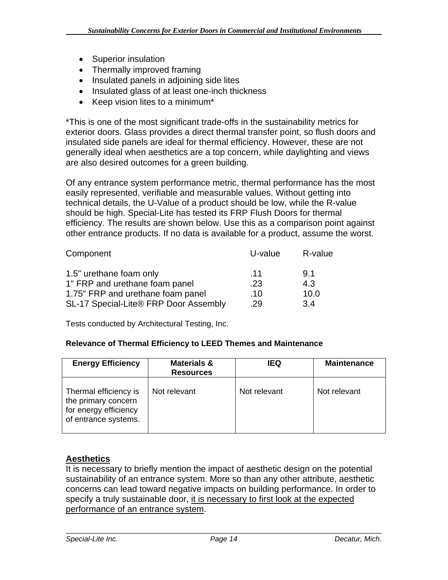- Superior insulation
- Thermally improved framing
- Insulated panels in adjoining side lites
- Insulated glass of at least one-inch thickness
- Keep vision lites to a minimum\*

\*This is one of the most significant trade-offs in the sustainability metrics for exterior doors. Glass provides a direct thermal transfer point, so flush doors and insulated side panels are ideal for thermal efficiency. However, these are not generally ideal when aesthetics are a top concern, while daylighting and views are also desired outcomes for a green building.

Of any entrance system performance metric, thermal performance has the most easily represented, verifiable and measurable values. Without getting into technical details, the U-Value of a product should be low, while the R-value should be high. Special-Lite has tested its FRP Flush Doors for thermal efficiency. The results are shown below. Use this as a comparison point against other entrance products. If no data is available for a product, assume the worst.

| Component                             | U-value | R-value |
|---------------------------------------|---------|---------|
| 1.5" urethane foam only               | .11     | 9.1     |
| 1" FRP and urethane foam panel        | .23     | 4.3     |
| 1.75" FRP and urethane foam panel     | .10     | 10.0    |
| SL-17 Special-Lite® FRP Door Assembly | .29     | 3.4     |

Tests conducted by Architectural Testing, Inc.

#### **Relevance of Thermal Efficiency to LEED Themes and Maintenance**

| <b>Energy Efficiency</b>                                                                      | <b>Materials &amp;</b><br><b>Resources</b> | <b>IEQ</b>   | <b>Maintenance</b> |
|-----------------------------------------------------------------------------------------------|--------------------------------------------|--------------|--------------------|
| Thermal efficiency is<br>the primary concern<br>for energy efficiency<br>of entrance systems. | Not relevant                               | Not relevant | Not relevant       |

### **Aesthetics**

It is necessary to briefly mention the impact of aesthetic design on the potential sustainability of an entrance system. More so than any other attribute, aesthetic concerns can lead toward negative impacts on building performance. In order to specify a truly sustainable door, it is necessary to first look at the expected performance of an entrance system.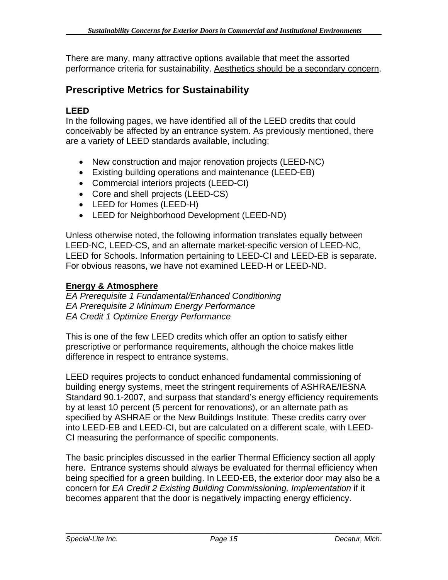There are many, many attractive options available that meet the assorted performance criteria for sustainability. Aesthetics should be a secondary concern.

# **Prescriptive Metrics for Sustainability**

### **LEED**

In the following pages, we have identified all of the LEED credits that could conceivably be affected by an entrance system. As previously mentioned, there are a variety of LEED standards available, including:

- New construction and major renovation projects (LEED-NC)
- Existing building operations and maintenance (LEED-EB)
- Commercial interiors projects (LEED-CI)
- Core and shell projects (LEED-CS)
- LEED for Homes (LEED-H)
- LEED for Neighborhood Development (LEED-ND)

Unless otherwise noted, the following information translates equally between LEED-NC, LEED-CS, and an alternate market-specific version of LEED-NC, LEED for Schools. Information pertaining to LEED-CI and LEED-EB is separate. For obvious reasons, we have not examined LEED-H or LEED-ND.

### **Energy & Atmosphere**

*EA Prerequisite 1 Fundamental/Enhanced Conditioning EA Prerequisite 2 Minimum Energy Performance EA Credit 1 Optimize Energy Performance* 

This is one of the few LEED credits which offer an option to satisfy either prescriptive or performance requirements, although the choice makes little difference in respect to entrance systems.

LEED requires projects to conduct enhanced fundamental commissioning of building energy systems, meet the stringent requirements of ASHRAE/IESNA Standard 90.1-2007, and surpass that standard's energy efficiency requirements by at least 10 percent (5 percent for renovations), or an alternate path as specified by ASHRAE or the New Buildings Institute. These credits carry over into LEED-EB and LEED-CI, but are calculated on a different scale, with LEED-CI measuring the performance of specific components.

The basic principles discussed in the earlier Thermal Efficiency section all apply here. Entrance systems should always be evaluated for thermal efficiency when being specified for a green building. In LEED-EB, the exterior door may also be a concern for *EA Credit 2 Existing Building Commissioning, Implementation* if it becomes apparent that the door is negatively impacting energy efficiency.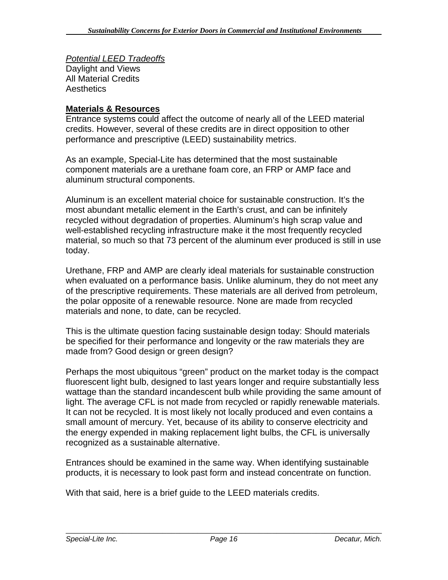*Potential LEED Tradeoffs* Daylight and Views All Material Credits **Aesthetics** 

### **Materials & Resources**

Entrance systems could affect the outcome of nearly all of the LEED material credits. However, several of these credits are in direct opposition to other performance and prescriptive (LEED) sustainability metrics.

As an example, Special-Lite has determined that the most sustainable component materials are a urethane foam core, an FRP or AMP face and aluminum structural components.

Aluminum is an excellent material choice for sustainable construction. It's the most abundant metallic element in the Earth's crust, and can be infinitely recycled without degradation of properties. Aluminum's high scrap value and well-established recycling infrastructure make it the most frequently recycled material, so much so that 73 percent of the aluminum ever produced is still in use today.

Urethane, FRP and AMP are clearly ideal materials for sustainable construction when evaluated on a performance basis. Unlike aluminum, they do not meet any of the prescriptive requirements. These materials are all derived from petroleum, the polar opposite of a renewable resource. None are made from recycled materials and none, to date, can be recycled.

This is the ultimate question facing sustainable design today: Should materials be specified for their performance and longevity or the raw materials they are made from? Good design or green design?

Perhaps the most ubiquitous "green" product on the market today is the compact fluorescent light bulb, designed to last years longer and require substantially less wattage than the standard incandescent bulb while providing the same amount of light. The average CFL is not made from recycled or rapidly renewable materials. It can not be recycled. It is most likely not locally produced and even contains a small amount of mercury. Yet, because of its ability to conserve electricity and the energy expended in making replacement light bulbs, the CFL is universally recognized as a sustainable alternative.

Entrances should be examined in the same way. When identifying sustainable products, it is necessary to look past form and instead concentrate on function.

With that said, here is a brief guide to the LEED materials credits.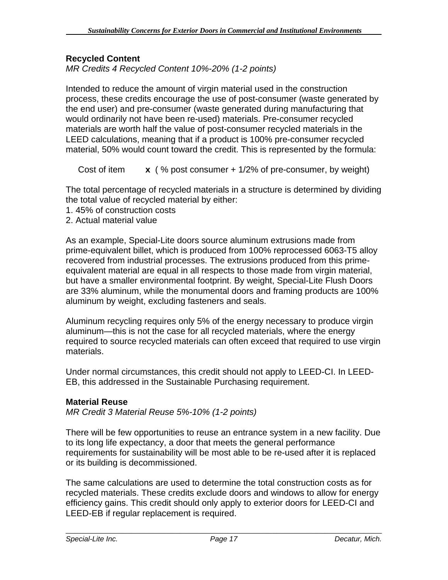### **Recycled Content**

*MR Credits 4 Recycled Content 10%-20% (1-2 points)* 

Intended to reduce the amount of virgin material used in the construction process, these credits encourage the use of post-consumer (waste generated by the end user) and pre-consumer (waste generated during manufacturing that would ordinarily not have been re-used) materials. Pre-consumer recycled materials are worth half the value of post-consumer recycled materials in the LEED calculations, meaning that if a product is 100% pre-consumer recycled material, 50% would count toward the credit. This is represented by the formula:

Cost of item **x** ( % post consumer + 1/2% of pre-consumer, by weight)

The total percentage of recycled materials in a structure is determined by dividing the total value of recycled material by either:

- 1. 45% of construction costs
- 2. Actual material value

As an example, Special-Lite doors source aluminum extrusions made from prime-equivalent billet, which is produced from 100% reprocessed 6063-T5 alloy recovered from industrial processes. The extrusions produced from this primeequivalent material are equal in all respects to those made from virgin material, but have a smaller environmental footprint. By weight, Special-Lite Flush Doors are 33% aluminum, while the monumental doors and framing products are 100% aluminum by weight, excluding fasteners and seals.

Aluminum recycling requires only 5% of the energy necessary to produce virgin aluminum—this is not the case for all recycled materials, where the energy required to source recycled materials can often exceed that required to use virgin materials.

Under normal circumstances, this credit should not apply to LEED-CI. In LEED-EB, this addressed in the Sustainable Purchasing requirement.

#### **Material Reuse**

*MR Credit 3 Material Reuse 5%-10% (1-2 points)* 

There will be few opportunities to reuse an entrance system in a new facility. Due to its long life expectancy, a door that meets the general performance requirements for sustainability will be most able to be re-used after it is replaced or its building is decommissioned.

The same calculations are used to determine the total construction costs as for recycled materials. These credits exclude doors and windows to allow for energy efficiency gains. This credit should only apply to exterior doors for LEED-CI and LEED-EB if regular replacement is required.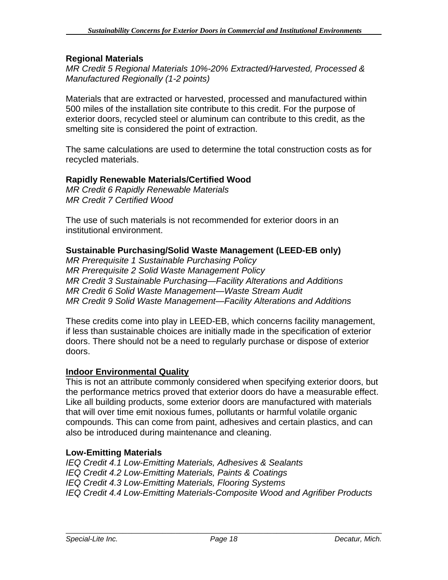### **Regional Materials**

*MR Credit 5 Regional Materials 10%-20% Extracted/Harvested, Processed & Manufactured Regionally (1-2 points)* 

Materials that are extracted or harvested, processed and manufactured within 500 miles of the installation site contribute to this credit. For the purpose of exterior doors, recycled steel or aluminum can contribute to this credit, as the smelting site is considered the point of extraction.

The same calculations are used to determine the total construction costs as for recycled materials.

### **Rapidly Renewable Materials/Certified Wood**

*MR Credit 6 Rapidly Renewable Materials MR Credit 7 Certified Wood* 

The use of such materials is not recommended for exterior doors in an institutional environment.

### **Sustainable Purchasing/Solid Waste Management (LEED-EB only)**

*MR Prerequisite 1 Sustainable Purchasing Policy MR Prerequisite 2 Solid Waste Management Policy MR Credit 3 Sustainable Purchasing—Facility Alterations and Additions MR Credit 6 Solid Waste Management—Waste Stream Audit MR Credit 9 Solid Waste Management—Facility Alterations and Additions* 

These credits come into play in LEED-EB, which concerns facility management, if less than sustainable choices are initially made in the specification of exterior doors. There should not be a need to regularly purchase or dispose of exterior doors.

### **Indoor Environmental Quality**

This is not an attribute commonly considered when specifying exterior doors, but the performance metrics proved that exterior doors do have a measurable effect. Like all building products, some exterior doors are manufactured with materials that will over time emit noxious fumes, pollutants or harmful volatile organic compounds. This can come from paint, adhesives and certain plastics, and can also be introduced during maintenance and cleaning.

### **Low-Emitting Materials**

*IEQ Credit 4.1 Low-Emitting Materials, Adhesives & Sealants IEQ Credit 4.2 Low-Emitting Materials, Paints & Coatings IEQ Credit 4.3 Low-Emitting Materials, Flooring Systems IEQ Credit 4.4 Low-Emitting Materials-Composite Wood and Agrifiber Products*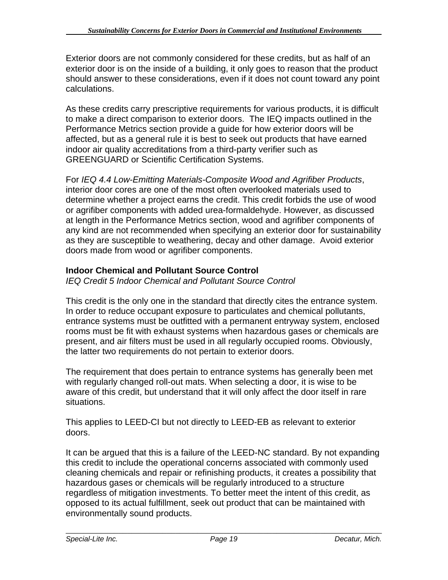Exterior doors are not commonly considered for these credits, but as half of an exterior door is on the inside of a building, it only goes to reason that the product should answer to these considerations, even if it does not count toward any point calculations.

As these credits carry prescriptive requirements for various products, it is difficult to make a direct comparison to exterior doors. The IEQ impacts outlined in the Performance Metrics section provide a guide for how exterior doors will be affected, but as a general rule it is best to seek out products that have earned indoor air quality accreditations from a third-party verifier such as GREENGUARD or Scientific Certification Systems.

For *IEQ 4.4 Low-Emitting Materials-Composite Wood and Agrifiber Products*, interior door cores are one of the most often overlooked materials used to determine whether a project earns the credit. This credit forbids the use of wood or agrifiber components with added urea-formaldehyde. However, as discussed at length in the Performance Metrics section, wood and agrifiber components of any kind are not recommended when specifying an exterior door for sustainability as they are susceptible to weathering, decay and other damage. Avoid exterior doors made from wood or agrifiber components.

# **Indoor Chemical and Pollutant Source Control**

*IEQ Credit 5 Indoor Chemical and Pollutant Source Control*

This credit is the only one in the standard that directly cites the entrance system. In order to reduce occupant exposure to particulates and chemical pollutants, entrance systems must be outfitted with a permanent entryway system, enclosed rooms must be fit with exhaust systems when hazardous gases or chemicals are present, and air filters must be used in all regularly occupied rooms. Obviously, the latter two requirements do not pertain to exterior doors.

The requirement that does pertain to entrance systems has generally been met with regularly changed roll-out mats. When selecting a door, it is wise to be aware of this credit, but understand that it will only affect the door itself in rare situations.

This applies to LEED-CI but not directly to LEED-EB as relevant to exterior doors.

It can be argued that this is a failure of the LEED-NC standard. By not expanding this credit to include the operational concerns associated with commonly used cleaning chemicals and repair or refinishing products, it creates a possibility that hazardous gases or chemicals will be regularly introduced to a structure regardless of mitigation investments. To better meet the intent of this credit, as opposed to its actual fulfillment, seek out product that can be maintained with environmentally sound products.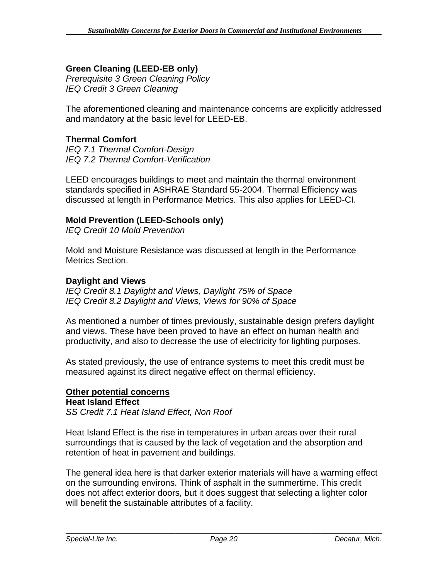# **Green Cleaning (LEED-EB only)**

*Prerequisite 3 Green Cleaning Policy IEQ Credit 3 Green Cleaning* 

The aforementioned cleaning and maintenance concerns are explicitly addressed and mandatory at the basic level for LEED-EB.

### **Thermal Comfort**

*IEQ 7.1 Thermal Comfort-Design IEQ 7.2 Thermal Comfort-Verification* 

LEED encourages buildings to meet and maintain the thermal environment standards specified in ASHRAE Standard 55-2004. Thermal Efficiency was discussed at length in Performance Metrics. This also applies for LEED-CI.

### **Mold Prevention (LEED-Schools only)**

*IEQ Credit 10 Mold Prevention* 

Mold and Moisture Resistance was discussed at length in the Performance Metrics Section.

#### **Daylight and Views**

*IEQ Credit 8.1 Daylight and Views, Daylight 75% of Space IEQ Credit 8.2 Daylight and Views, Views for 90% of Space*

As mentioned a number of times previously, sustainable design prefers daylight and views. These have been proved to have an effect on human health and productivity, and also to decrease the use of electricity for lighting purposes.

As stated previously, the use of entrance systems to meet this credit must be measured against its direct negative effect on thermal efficiency.

### **Other potential concerns**

#### **Heat Island Effect**

*SS Credit 7.1 Heat Island Effect, Non Roof* 

Heat Island Effect is the rise in temperatures in urban areas over their rural surroundings that is caused by the lack of vegetation and the absorption and retention of heat in pavement and buildings.

The general idea here is that darker exterior materials will have a warming effect on the surrounding environs. Think of asphalt in the summertime. This credit does not affect exterior doors, but it does suggest that selecting a lighter color will benefit the sustainable attributes of a facility.